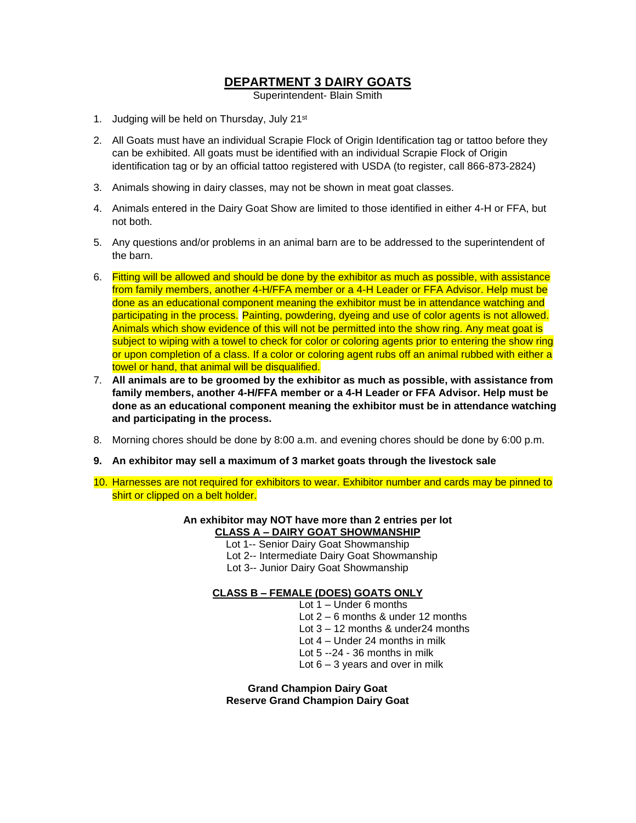# **DEPARTMENT 3 DAIRY GOATS**

Superintendent- Blain Smith

- 1. Judging will be held on Thursday, July 21<sup>st</sup>
- 2. All Goats must have an individual Scrapie Flock of Origin Identification tag or tattoo before they can be exhibited. All goats must be identified with an individual Scrapie Flock of Origin identification tag or by an official tattoo registered with USDA (to register, call 866-873-2824)
- 3. Animals showing in dairy classes, may not be shown in meat goat classes.
- 4. Animals entered in the Dairy Goat Show are limited to those identified in either 4-H or FFA, but not both.
- 5. Any questions and/or problems in an animal barn are to be addressed to the superintendent of the barn.
- 6. Fitting will be allowed and should be done by the exhibitor as much as possible, with assistance from family members, another 4-H/FFA member or a 4-H Leader or FFA Advisor. Help must be done as an educational component meaning the exhibitor must be in attendance watching and participating in the process. Painting, powdering, dyeing and use of color agents is not allowed. Animals which show evidence of this will not be permitted into the show ring. Any meat goat is subject to wiping with a towel to check for color or coloring agents prior to entering the show ring or upon completion of a class. If a color or coloring agent rubs off an animal rubbed with either a towel or hand, that animal will be disqualified.
- 7. **All animals are to be groomed by the exhibitor as much as possible, with assistance from family members, another 4-H/FFA member or a 4-H Leader or FFA Advisor. Help must be done as an educational component meaning the exhibitor must be in attendance watching and participating in the process.**
- 8. Morning chores should be done by 8:00 a.m. and evening chores should be done by 6:00 p.m.
- **9. An exhibitor may sell a maximum of 3 market goats through the livestock sale**
- 10. Harnesses are not required for exhibitors to wear. Exhibitor number and cards may be pinned to shirt or clipped on a belt holder.

#### **An exhibitor may NOT have more than 2 entries per lot CLASS A – DAIRY GOAT SHOWMANSHIP**

- Lot 1-- Senior Dairy Goat Showmanship
- Lot 2-- Intermediate Dairy Goat Showmanship
- Lot 3-- Junior Dairy Goat Showmanship

### **CLASS B – FEMALE (DOES) GOATS ONLY**

- Lot 1 Under 6 months
- Lot 2 6 months & under 12 months
- Lot 3 12 months & under24 months
- Lot 4 Under 24 months in milk
- Lot 5 --24 36 months in milk
- Lot 6 3 years and over in milk

**Grand Champion Dairy Goat Reserve Grand Champion Dairy Goat**